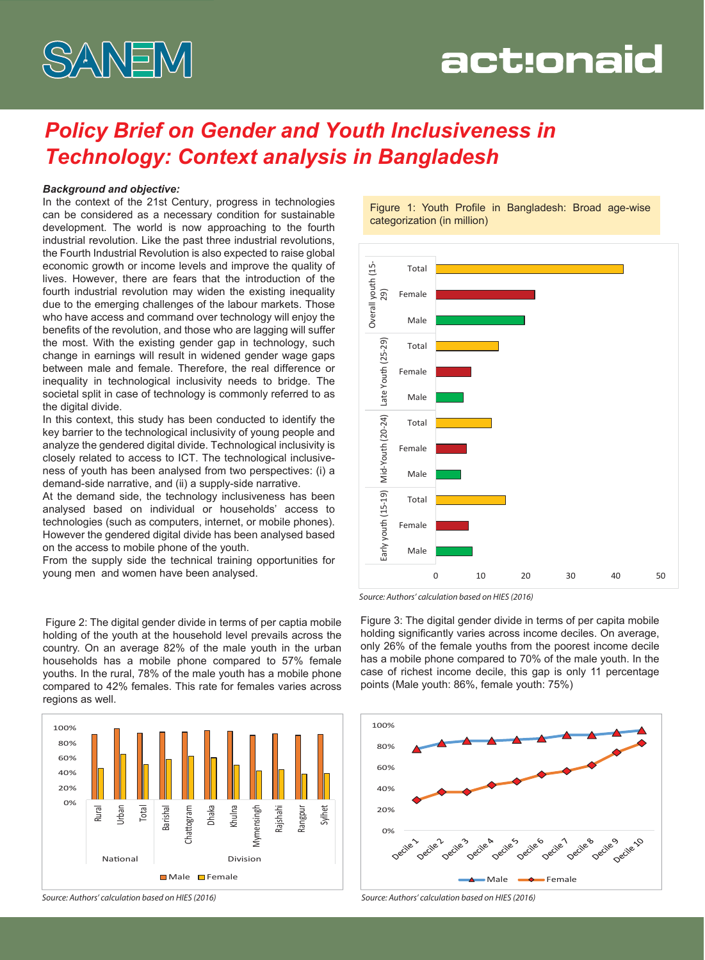

# act:onaid

# *Policy Brief on Gender and Youth Inclusiveness in Technology: Context analysis in Bangladesh*

#### *Background and objective:*

In the context of the 21st Century, progress in technologies can be considered as a necessary condition for sustainable development. The world is now approaching to the fourth industrial revolution. Like the past three industrial revolutions, the Fourth Industrial Revolution is also expected to raise global economic growth or income levels and improve the quality of lives. However, there are fears that the introduction of the fourth industrial revolution may widen the existing inequality due to the emerging challenges of the labour markets. Those who have access and command over technology will enjoy the benefits of the revolution, and those who are lagging will suffer the most. With the existing gender gap in technology, such change in earnings will result in widened gender wage gaps between male and female. Therefore, the real difference or inequality in technological inclusivity needs to bridge. The societal split in case of technology is commonly referred to as the digital divide.

In this context, this study has been conducted to identify the key barrier to the technological inclusivity of young people and analyze the gendered digital divide. Technological inclusivity is closely related to access to ICT. The technological inclusiveness of youth has been analysed from two perspectives: (i) a demand-side narrative, and (ii) a supply-side narrative.

At the demand side, the technology inclusiveness has been analysed based on individual or households' access to technologies (such as computers, internet, or mobile phones). However the gendered digital divide has been analysed based on the access to mobile phone of the youth.

From the supply side the technical training opportunities for young men and women have been analysed.

 Figure 2: The digital gender divide in terms of per captia mobile holding of the youth at the household level prevails across the country. On an average 82% of the male youth in the urban households has a mobile phone compared to 57% female youths. In the rural, 78% of the male youth has a mobile phone compared to 42% females. This rate for females varies across regions as well.



Figure 1: Youth Profile in Bangladesh: Broad age-wise categorization (in million)



*Source: Authors' calculation based on HIES (2016)*

Figure 3: The digital gender divide in terms of per capita mobile holding significantly varies across income deciles. On average, only 26% of the female youths from the poorest income decile has a mobile phone compared to 70% of the male youth. In the case of richest income decile, this gap is only 11 percentage points (Male youth: 86%, female youth: 75%)



*Source: Authors' calculation based on HIES (2016) Source: Authors' calculation based on HIES (2016)*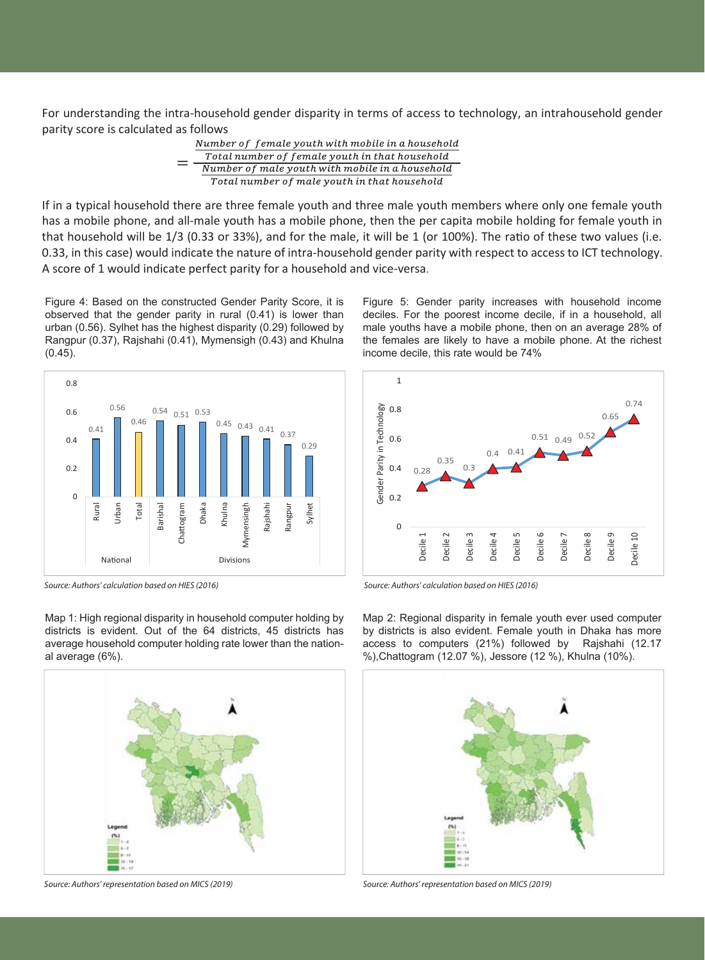For understanding the intra-household gender disparity in terms of access to technology, an intrahousehold gender parity score is calculated as follows

> Number of female youth with mobile in a household Total number of female youth in that household Number of male youth with mobile in a household Total number of male youth in that household

If in a typical household there are three female youth and three male youth members where only one female youth has a mobile phone, and all-male youth has a mobile phone, then the per capita mobile holding for female youth in that household will be  $1/3$  (0.33 or 33%), and for the male, it will be 1 (or 100%). The ratio of these two values (i.e. 0.33, in this case) would indicate the nature of intra-household gender parity with respect to access to ICT technology. A score of 1 would indicate perfect parity for a household and vice-versa.

Figure 4: Based on the constructed Gender Parity Score, it is observed that the gender parity in rural (0.41) is lower than urban (0.56). Sylhet has the highest disparity (0.29) followed by Rangpur (0.37), Rajshahi (0.41), Mymensigh (0.43) and Khulna (0.45).



*Source: Authors' calculation based on HIES (2016) Source: Authors' calculation based on HIES (2016)*

Map 1: High regional disparity in household computer holding by districts is evident. Out of the 64 districts, 45 districts has average household computer holding rate lower than the national average (6%).



*Source: Authors' representation based on MICS (2019) Source: Authors' representation based on MICS (2019)*

Figure 5: Gender parity increases with household income deciles. For the poorest income decile, if in a household, all male youths have a mobile phone, then on an average 28% of the females are likely to have a mobile phone. At the richest income decile, this rate would be 74%



Map 2: Regional disparity in female youth ever used computer by districts is also evident. Female youth in Dhaka has more access to computers (21%) followed by Rajshahi (12.17 %),Chattogram (12.07 %), Jessore (12 %), Khulna (10%).

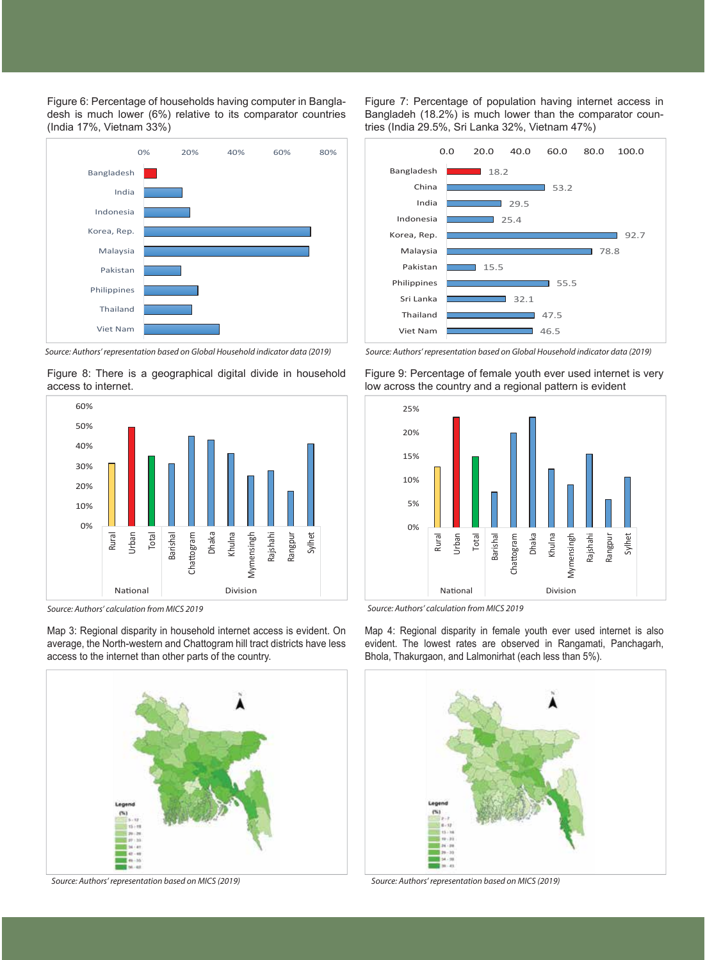Figure 6: Percentage of households having computer in Bangladesh is much lower (6%) relative to its comparator countries (India 17%, Vietnam 33%)



*Source: Authors' representation based on Global Household indicator data (2019) Source: Authors' representation based on Global Household indicator data (2019)*





*Source: Authors' calculation from MICS 2019 Source: Authors' calculation from MICS 2019*

Map 3: Regional disparity in household internet access is evident. On average, the North-western and Chattogram hill tract districts have less access to the internet than other parts of the country.



*Source: Authors' representation based on MICS (2019) Source: Authors' representation based on MICS (2019)*

Figure 7: Percentage of population having internet access in Bangladeh (18.2%) is much lower than the comparator countries (India 29.5%, Sri Lanka 32%, Vietnam 47%)





Map 4: Regional disparity in female youth ever used internet is also evident. The lowest rates are observed in Rangamati, Panchagarh, Bhola, Thakurgaon, and Lalmonirhat (each less than 5%).

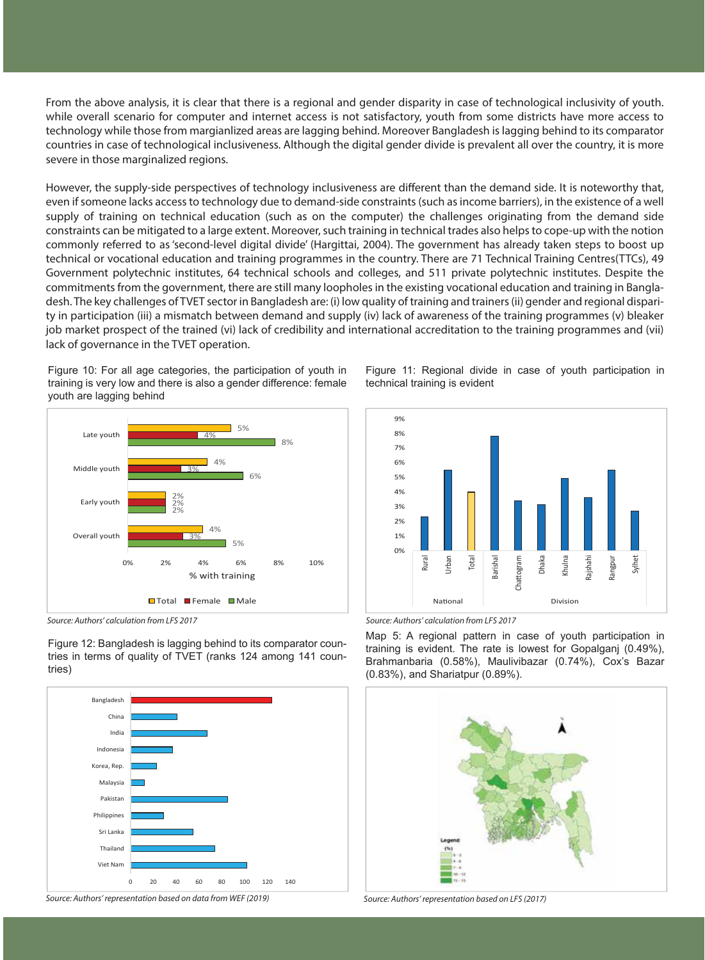From the above analysis, it is clear that there is a regional and gender disparity in case of technological inclusivity of youth. while overall scenario for computer and internet access is not satisfactory, youth from some districts have more access to technology while those from margianlized areas are lagging behind. Moreover Bangladesh is lagging behind to its comparator countries in case of technological inclusiveness. Although the digital gender divide is prevalent all over the country, it is more severe in those marginalized regions.

However, the supply-side perspectives of technology inclusiveness are different than the demand side. It is noteworthy that, even if someone lacks access to technology due to demand-side constraints (such as income barriers), in the existence of a well supply of training on technical education (such as on the computer) the challenges originating from the demand side constraints can be mitigated to a large extent. Moreover, such training in technical trades also helps to cope-up with the notion commonly referred to as 'second-level digital divide' (Hargittai, 2004). The government has already taken steps to boost up technical or vocational education and training programmes in the country. There are 71 Technical Training Centres(TTCs), 49 Government polytechnic institutes, 64 technical schools and colleges, and 511 private polytechnic institutes. Despite the commitments from the government, there are still many loopholes in the existing vocational education and training in Bangladesh. The key challenges of TVET sector in Bangladesh are: (i) low quality of training and trainers (ii) gender and regional disparity in participation (iii) a mismatch between demand and supply (iv) lack of awareness of the training programmes (v) bleaker job market prospect of the trained (vi) lack of credibility and international accreditation to the training programmes and (vii) lack of governance in the TVET operation.

Figure 10: For all age categories, the participation of youth in training is very low and there is also a gender difference: female youth are lagging behind



Figure 12: Bangladesh is lagging behind to its comparator countries in terms of quality of TVET (ranks 124 among 141 countries)





Figure 11: Regional divide in case of youth participation in technical training is evident



*Source: Authors' calculation from LFS 2017 Source: Authors' calculation from LFS 2017*

Map 5: A regional pattern in case of youth participation in training is evident. The rate is lowest for Gopalganj (0.49%), Brahmanbaria (0.58%), Maulivibazar (0.74%), Cox's Bazar (0.83%), and Shariatpur (0.89%).

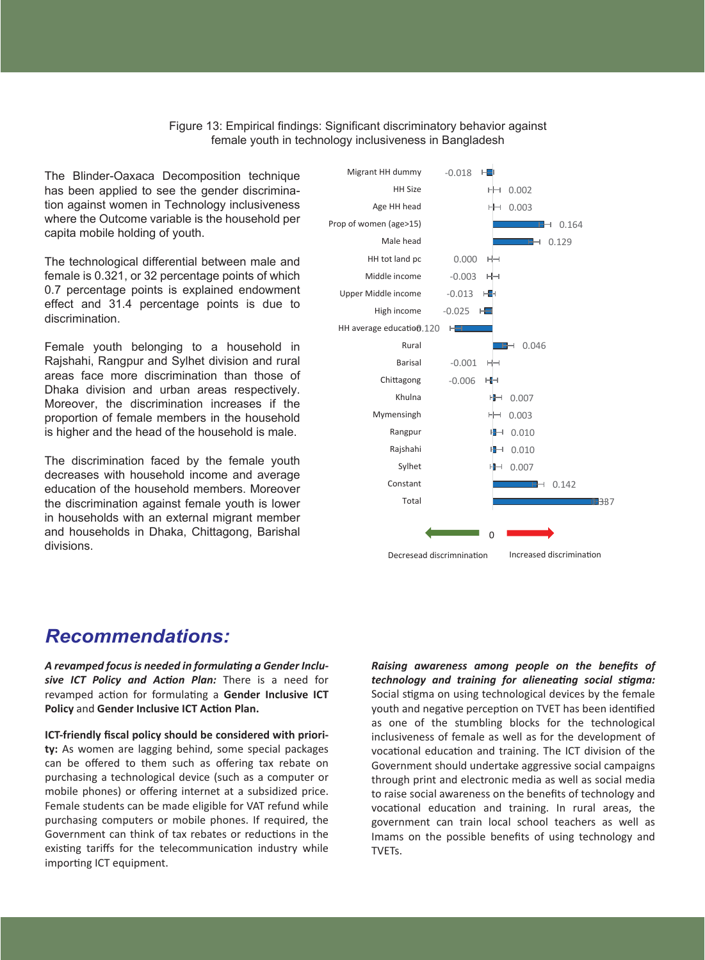Figure 13: Empirical findings: Significant discriminatory behavior against female youth in technology inclusiveness in Bangladesh

The Blinder-Oaxaca Decomposition technique has been applied to see the gender discrimination against women in Technology inclusiveness where the Outcome variable is the household per capita mobile holding of youth.

The technological differential between male and female is 0.321, or 32 percentage points of which 0.7 percentage points is explained endowment effect and 31.4 percentage points is due to discrimination.

Female youth belonging to a household in Rajshahi, Rangpur and Sylhet division and rural areas face more discrimination than those of Dhaka division and urban areas respectively. Moreover, the discrimination increases if the proportion of female members in the household is higher and the head of the household is male.

The discrimination faced by the female youth decreases with household income and average education of the household members. Moreover the discrimination against female youth is lower in households with an external migrant member and households in Dhaka, Chittagong, Barishal divisions.



### *Recommendations:*

*A revamped focus is needed in formulating a Gender Inclusive ICT Policy and Action Plan:* There is a need for revamped action for formulating a Gender Inclusive ICT **Policy and Gender Inclusive ICT Action Plan.** 

**ICT-friendly fiscal policy should be considered with priority:** As women are lagging behind, some special packages can be offered to them such as offering tax rebate on purchasing a technological device (such as a computer or mobile phones) or offering internet at a subsidized price. Female students can be made eligible for VAT refund while purchasing computers or mobile phones. If required, the Government can think of tax rebates or reductions in the existing tariffs for the telecommunication industry while importing ICT equipment.

*Raising awareness among people on the benefits of technology and training for alieneating social stigma:* Social stigma on using technological devices by the female youth and negative perception on TVET has been identified as one of the stumbling blocks for the technological inclusiveness of female as well as for the development of vocational education and training. The ICT division of the Government should undertake aggressive social campaigns through print and electronic media as well as social media to raise social awareness on the benefits of technology and vocational education and training. In rural areas, the government can train local school teachers as well as Imams on the possible benefits of using technology and TVETs.